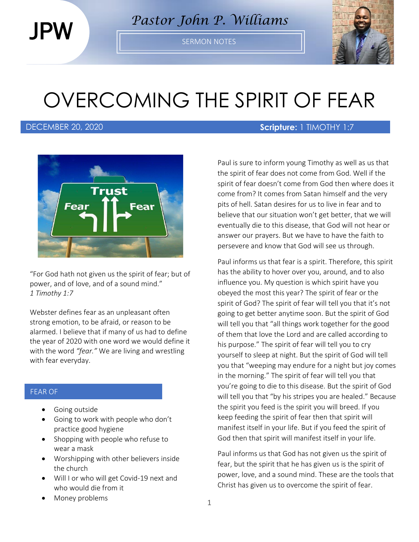JPW

*Pastor John P. Williams*

SERMON NOTES



# OVERCOMING THE SPIRIT OF FEAR



"For God hath not given us the spirit of fear; but of power, and of love, and of a sound mind." *1 Timothy 1:7*

Webster defines fear as an unpleasant often strong emotion, to be afraid, or reason to be alarmed. I believe that if many of us had to define the year of 2020 with one word we would define it with the word *"fear."* We are living and wrestling with fear everyday.

#### FEAR OF

- Going outside
- Going to work with people who don't practice good hygiene
- Shopping with people who refuse to wear a mask
- Worshipping with other believers inside the church
- Will I or who will get Covid-19 next and who would die from it
- Money problems

### DECEMBER 20, 2020 **Scripture:** 1 TIMOTHY 1:7

Paul is sure to inform young Timothy as well as us that the spirit of fear does not come from God. Well if the spirit of fear doesn't come from God then where does it come from? It comes from Satan himself and the very pits of hell. Satan desires for us to live in fear and to believe that our situation won't get better, that we will eventually die to this disease, that God will not hear or answer our prayers. But we have to have the faith to persevere and know that God will see us through.

Paul informs us that fear is a spirit. Therefore, this spirit has the ability to hover over you, around, and to also influence you. My question is which spirit have you obeyed the most this year? The spirit of fear or the spirit of God? The spirit of fear will tell you that it's not going to get better anytime soon. But the spirit of God will tell you that "all things work together for the good of them that love the Lord and are called according to his purpose." The spirit of fear will tell you to cry yourself to sleep at night. But the spirit of God will tell you that "weeping may endure for a night but joy comes in the morning." The spirit of fear will tell you that you're going to die to this disease. But the spirit of God will tell you that "by his stripes you are healed." Because the spirit you feed is the spirit you will breed. If you keep feeding the spirit of fear then that spirit will manifest itself in your life. But if you feed the spirit of God then that spirit will manifest itself in your life.

Paul informs us that God has not given us the spirit of fear, but the spirit that he has given us is the spirit of power, love, and a sound mind. These are the tools that Christ has given us to overcome the spirit of fear.